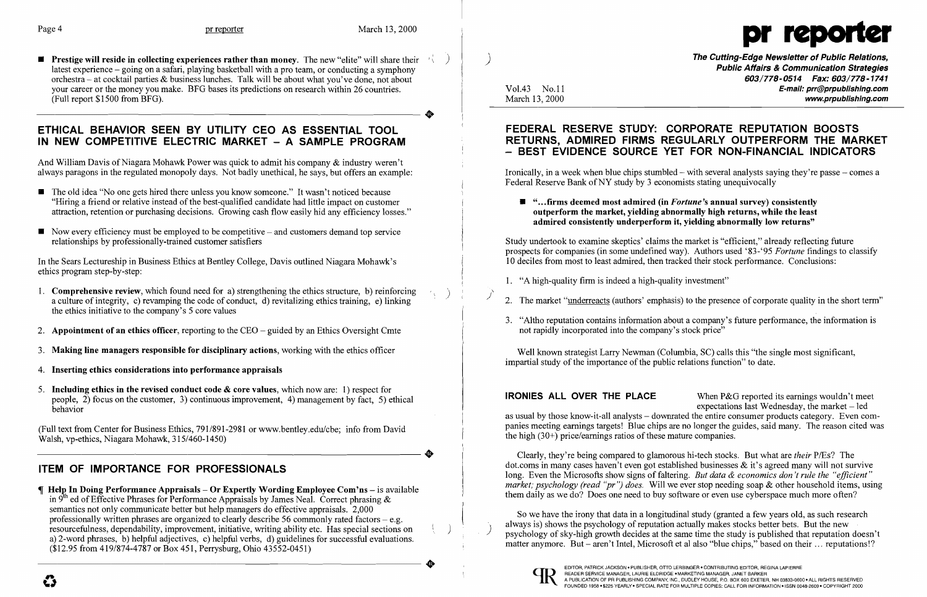**•** Prestige will reside in collecting experiences rather than money. The new "elite" will share their  $\frac{1}{2}$ latest experience - going on a safari, playing basketball with a pro team, or conducting a symphony orchestra - at cocktail parties & business lunches. Talk will be about what you've done, not about your career or the money you make. BFG bases its predictions on research within 26 countries.<br>
(Full report \$1500 from BFG). (Full report \$1500 from BFG).

# ETHICAL BEHAVIOR SEEN BY UTILITY CEO AS ESSENTIAL TOOL IN NEW COMPETITIVE ELECTRIC MARKET - A SAMPLE PROGRAM

- **•** The old idea "No one gets hired there unless you know someone." It wasn't noticed because "Hiring a friend or relative instead of the best-qualified candidate had little impact on customer attraction, retention or purchasing decisions. Growing cash flow easily hid any efficiency losses."
- $\blacksquare$  Now every efficiency must be employed to be competitive and customers demand top service relationships by professionally-trained customer satisfiers

And William Davis of Niagara Mohawk Power was quick to admit his company & industry weren't always paragons in the regulated monopoly days. Not badly unethical, he says, but offers an example:

- 1. **Comprehensive review**, which found need for a) strengthening the ethics structure, b) reinforcing a culture of integrity, c) revamping the code of conduct, d) revitalizing ethics training, e) linking the ethics initiative to the company's 5 core values
- 2. Appointment of an ethics officer, reporting to the CEO guided by an Ethics Oversight Cmte
- 3. Making line managers responsible for disciplinary actions, working with the ethics officer
- 4. Inserting ethics considerations into performance appraisals
- 5. Including ethics in the revised conduct code  $\&$  core values, which now are: 1) respect for people, 2) focus on the customer, 3) continuous improvement, 4) management by fact, 5) ethical behavior

In the Sears Lectureship in Business Ethics at Bentley College, Davis outlined Niagara Mohawk's ethics program step-by-step:

 $\P$  Help In Doing Performance Appraisals - Or Expertly Wording Employee Com'ns - is available in  $9<sup>th</sup>$  ed of Effective Phrases for Performance Appraisals by James Neal. Correct phrasing  $\&$ semantics not only communicate better but help managers do effective appraisals. 2,000 professionally written phrases are organized to clearly describe 56 commonly rated factors  $-$  e.g. resourcefulness, dependability, improvement, initiative, writing ability etc. Has special sections on a) 2-word phrases, b) helpful adjectives, c) helpful verbs, d) guidelines for successful evaluations.<br>  $($12.95$  from 419/874-4787 or Box 451, Perrysburg, Ohio 43552-0451) (\$12.95 from 419/874-4787 or Box 451, Perrysburg, Ohio 43552-0451)

) The Cutting-Edge Newsletter of Public Relations, Public Affairs & Communication Strategies 603/778-0514 Fax: 603/778-1741 Vol.43 No.11 **E-mail: prr@prpublishing.com**<br>March 13, 2000 **E-mail: prr@prpublishing.com** www.prpublishing.com

## FEDERAL RESERVE STUDY: CORPORATE REPUTATION BOOSTS RETURNS, ADMIRED FIRMS REGULARLY OUTPERFORM THE MARKET - BEST EVIDENCE SOURCE YET FOR NON-FINANCIAL INDICATORS

Ironically, in a week when blue chips stumbled – with several analysts saying they're passe – comes a Federal Reserve Bank of NY study by 3 economists stating unequivocally

■ "...firms deemed most admired (in *Fortune's* annual survey) consistently outperform the market, yielding abnormally high returns, while the least admired consistently underperform it, yielding abnormally low returns"

)  $\lambda$ 

(Full text from Center for Business Ethics, 791/891-2981 or www.bentley.edu/cbe; info from David -----------------------+ Walsh, vp-ethics, Niagara Mohawk, 315/460-1450)

IRONIES ALL OVER THE PLACE When P&G reported its earnings wouldn't meet expectations last Wednesday, the market  $-$  led as usual by those know-it-all analysts – downrated the entire consumer products category. Even companies meeting earnings targets! Blue chips are no longer the guides, said many. The reason cited was the high  $(30+)$  price/earnings ratios of these mature companies.

# ITEM OF IMPORTANCE FOR PROFESSIONALS

Clearly, they're being compared to glamorous hi-tech stocks. But what are *their* P/Es? The dot.coms in many cases haven't even got established businesses  $\&$  it's agreed many will not survive long. Even the Microsofts show signs of faltering. *But data* & *economics don't rule the "efficient" market; psychology (read "pr") does.* Will we ever stop needing soap & other household items, using them daily as we do? Does one need to buy software or even use cyberspace much more often?

So we have the irony that data in a longitudinal study (granted a few years old, as such research always is) shows the psychology of reputation actually makes stocks better bets. But the new psychology of sky-high growth decides at the same time the study is published that reputation doesn't matter anymore. But – aren't Intel, Microsoft et al also "blue chips," based on their ... reputations!?





Study undertook to examine skeptics' claims the market is "efficient," already reflecting future prospects for companies (in some undefined way). Authors used '83-'95 *Fortune* findings to classify 10 deciles from most to least admired, then tracked their stock performance. Conclusions:

2. The market "underreacts (authors' emphasis) to the presence of corporate quality in the short term"

3. "Altho reputation contains information about a company's future performance, the information is

- 1. "A high-quality firm is indeed a high-quality investment"
- 
- not rapidly incorporated into the company's stock price"

Well known strategist Larry Newman (Columbia, SC) calls this "the single most significant, impartial study of the importance of the public relations function" to date.